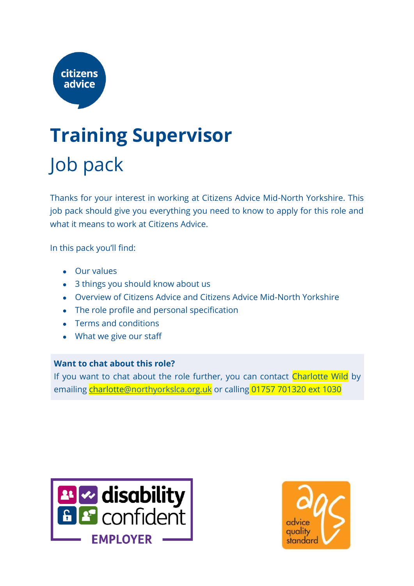

### **Training Supervisor** Job pack

Thanks for your interest in working at Citizens Advice Mid-North Yorkshire. This job pack should give you everything you need to know to apply for this role and what it means to work at Citizens Advice.

In this pack you'll find:

- Our values
- 3 things you should know about us
- Overview of Citizens Advice and Citizens Advice Mid-North Yorkshire
- The role profile and personal specification
- Terms and conditions
- What we give our staff

#### **Want to chat about this role?**

If you want to chat about the role further, you can contact Charlotte Wild by emailing charlott[e@northyorkslca.org.uk](mailto:julia@northyorkslca.org.uk) or calling 01757 701320 ext 1030



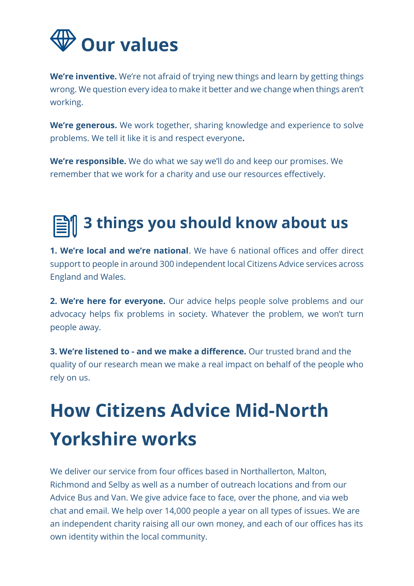

**We're inventive.** We're not afraid of trying new things and learn by getting things wrong. We question every idea to make it better and we change when things aren't working.

**We're generous.** We work together, sharing knowledge and experience to solve problems. We tell it like it is and respect everyone**.**

**We're responsible.** We do what we say we'll do and keep our promises. We remember that we work for a charity and use our resources effectively.

### **3 things you should know about us**

**1. We're local and we're national**. We have 6 national offices and offer direct support to people in around 300 independent local Citizens Advice services across England and Wales.

**2. We're here for everyone.** Our advice helps people solve problems and our advocacy helps fix problems in society. Whatever the problem, we won't turn people away.

**3. We're listened to - and we make a difference.** Our trusted brand and the quality of our research mean we make a real impact on behalf of the people who rely on us.

### **How Citizens Advice Mid-North Yorkshire works**

We deliver our service from four offices based in Northallerton, Malton, Richmond and Selby as well as a number of outreach locations and from our Advice Bus and Van. We give advice face to face, over the phone, and via web chat and email. We help over 14,000 people a year on all types of issues. We are an independent charity raising all our own money, and each of our offices has its own identity within the local community.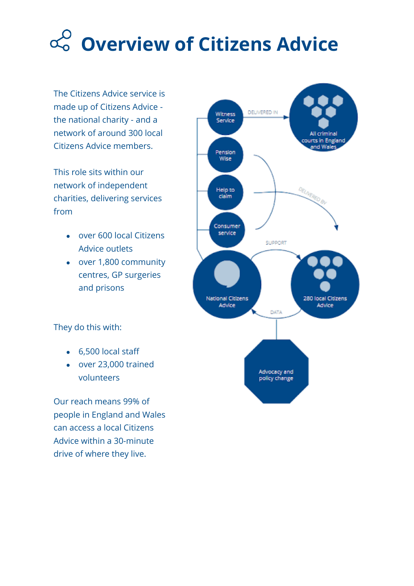## **Overview of Citizens Advice**

The Citizens Advice service is made up of Citizens Advice the national charity - and a network of around 300 local Citizens Advice members.

This role sits within our network of independent charities, delivering services from

- over 600 local Citizens Advice outlets
- over 1,800 community centres, GP surgeries and prisons

They do this with:

- 6,500 local staff
- over 23,000 trained volunteers

Our reach means 99% of people in England and Wales can access a local Citizens Advice within a 30-minute drive of where they live.

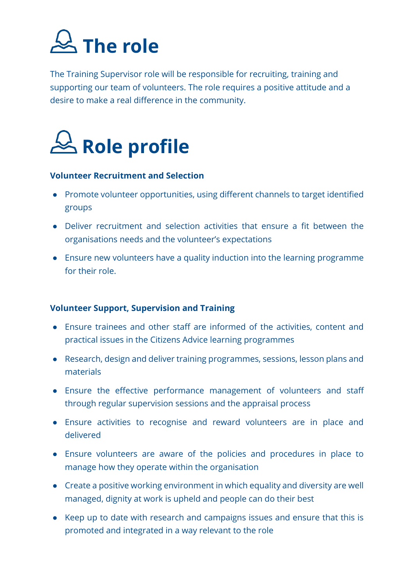

The Training Supervisor role will be responsible for recruiting, training and supporting our team of volunteers. The role requires a positive attitude and a desire to make a real difference in the community.



#### **Volunteer Recruitment and Selection**

- Promote volunteer opportunities, using different channels to target identified groups
- Deliver recruitment and selection activities that ensure a fit between the organisations needs and the volunteer's expectations
- Ensure new volunteers have a quality induction into the learning programme for their role.

#### **Volunteer Support, Supervision and Training**

- Ensure trainees and other staff are informed of the activities, content and practical issues in the Citizens Advice learning programmes
- Research, design and deliver training programmes, sessions, lesson plans and materials
- Ensure the effective performance management of volunteers and staff through regular supervision sessions and the appraisal process
- Ensure activities to recognise and reward volunteers are in place and delivered
- Ensure volunteers are aware of the policies and procedures in place to manage how they operate within the organisation
- Create a positive working environment in which equality and diversity are well managed, dignity at work is upheld and people can do their best
- Keep up to date with research and campaigns issues and ensure that this is promoted and integrated in a way relevant to the role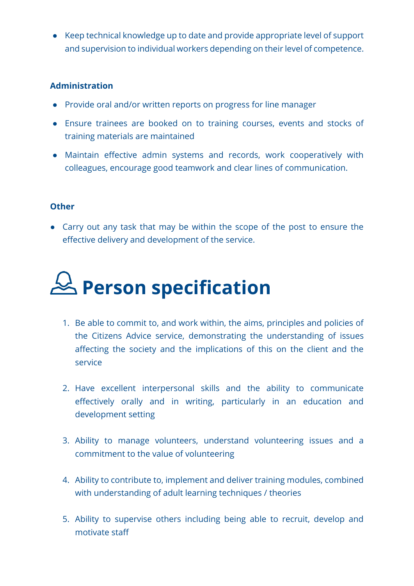● Keep technical knowledge up to date and provide appropriate level of support and supervision to individual workers depending on their level of competence.

#### **Administration**

- Provide oral and/or written reports on progress for line manager
- Ensure trainees are booked on to training courses, events and stocks of training materials are maintained
- Maintain effective admin systems and records, work cooperatively with colleagues, encourage good teamwork and clear lines of communication.

#### **Other**

• Carry out any task that may be within the scope of the post to ensure the effective delivery and development of the service.



- 1. Be able to commit to, and work within, the aims, principles and policies of the Citizens Advice service, demonstrating the understanding of issues affecting the society and the implications of this on the client and the service
- 2. Have excellent interpersonal skills and the ability to communicate effectively orally and in writing, particularly in an education and development setting
- 3. Ability to manage volunteers, understand volunteering issues and a commitment to the value of volunteering
- 4. Ability to contribute to, implement and deliver training modules, combined with understanding of adult learning techniques / theories
- 5. Ability to supervise others including being able to recruit, develop and motivate staff